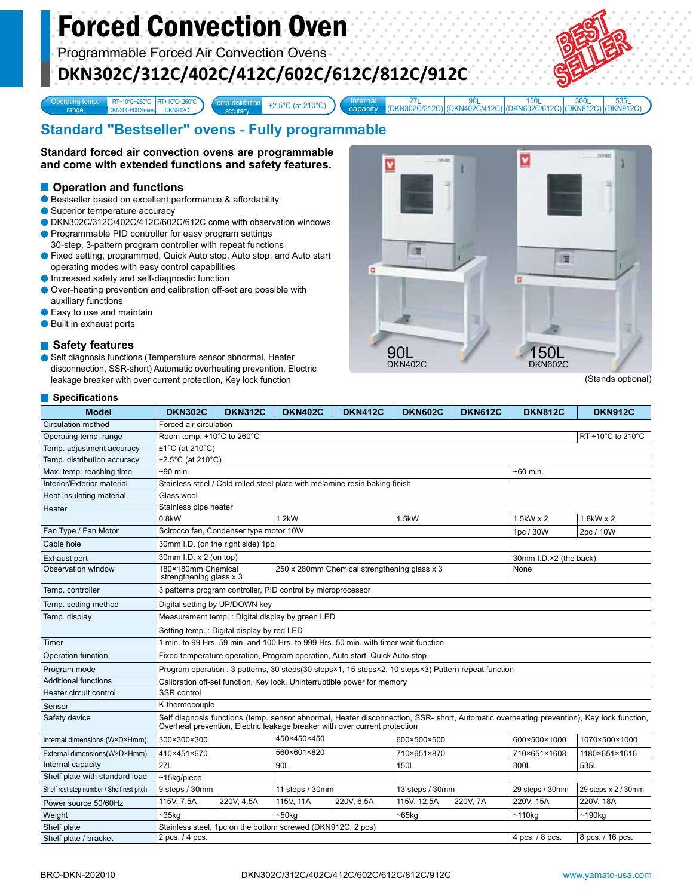# Forced Convection Oven

Programmable Forced Air Convection Ovens

## **DKN302C/312C/402C/412C/602C/612C/812C/912C**

 $\pm 2.5^{\circ}$ C (at 210 $^{\circ}$ C)



capacity RT+10°C-260°C RT+10°C-260°C (at 210°C) (at 210°C) (Bitternal 27L 90L 150L 150L 300L 535L 535L 535L 200 RN402C/412C) (DKN812C) (DKN812C) 535L<br>(DKN912C

## **Standard "Bestseller" ovens - Fully programmable**

Temp. distribution

**Standard forced air convection ovens are programmable and come with extended functions and safety features.**

#### **Operation and functions**

Bestseller based on excellent performance & affordability

'C~260°C RT+10°C~260°C

DKN912C

DKN300-600 Series

Superior temperature accuracy

Operating temp. range

- DKN302C/312C/402C/412C/602C/612C come with observation windows
- **Programmable PID controller for easy program settings** 30-step, 3-pattern program controller with repeat functions
- Fixed setting, programmed, Quick Auto stop, Auto stop, and Auto start operating modes with easy control capabilities
- **Increased safety and self-diagnostic function**
- Over-heating prevention and calibration off-set are possible with auxiliary functions
- Easy to use and maintain
- Built in exhaust ports

#### ■ Safety features

Self diagnosis functions (Temperature sensor abnormal, Heater disconnection, SSR-short) Automatic overheating prevention, Electric leakage breaker with over current protection, Key lock function



(Stands optional)

#### **Specifications**

| <b>Model</b>                              | <b>DKN302C</b>                                                                                                                                                                                                         | <b>DKN312C</b> | <b>DKN402C</b>      | <b>DKN412C</b> | <b>DKN602C</b>  | <b>DKN612C</b> | <b>DKN812C</b>  | <b>DKN912C</b>      |
|-------------------------------------------|------------------------------------------------------------------------------------------------------------------------------------------------------------------------------------------------------------------------|----------------|---------------------|----------------|-----------------|----------------|-----------------|---------------------|
| Circulation method                        | Forced air circulation                                                                                                                                                                                                 |                |                     |                |                 |                |                 |                     |
| Operating temp. range                     | Room temp. +10°C to 260°C<br>RT +10°C to 210°C                                                                                                                                                                         |                |                     |                |                 |                |                 |                     |
| Temp. adjustment accuracy                 | $±1^{\circ}C$ (at 210 $^{\circ}C$ )                                                                                                                                                                                    |                |                     |                |                 |                |                 |                     |
| Temp. distribution accuracy               | ±2.5°C (at 210°C)                                                                                                                                                                                                      |                |                     |                |                 |                |                 |                     |
| Max. temp. reaching time                  | $-90$ min.                                                                                                                                                                                                             |                |                     |                |                 |                | ~60 min.        |                     |
| Interior/Exterior material                | Stainless steel / Cold rolled steel plate with melamine resin baking finish                                                                                                                                            |                |                     |                |                 |                |                 |                     |
| Heat insulating material                  | Glass wool                                                                                                                                                                                                             |                |                     |                |                 |                |                 |                     |
| Heater                                    | Stainless pipe heater                                                                                                                                                                                                  |                |                     |                |                 |                |                 |                     |
|                                           | 0.8kW                                                                                                                                                                                                                  |                | 1.2kW               |                | 1.5kW           |                | 1.5kW x 2       | 1.8kW x 2           |
| Fan Type / Fan Motor                      | Scirocco fan, Condenser type motor 10W                                                                                                                                                                                 |                |                     |                |                 |                | 1pc / 30W       | 2pc / 10W           |
| Cable hole                                | 30mm I.D. (on the right side) 1pc.                                                                                                                                                                                     |                |                     |                |                 |                |                 |                     |
| Exhaust port                              | 30mm I.D. x 2 (on top)<br>30mm I.D.×2 (the back)                                                                                                                                                                       |                |                     |                |                 |                |                 |                     |
| Observation window                        | 180×180mm Chemical<br>250 x 280mm Chemical strengthening glass x 3<br>strengthening glass x 3                                                                                                                          |                |                     |                |                 |                | None            |                     |
| Temp. controller                          | 3 patterns program controller, PID control by microprocessor                                                                                                                                                           |                |                     |                |                 |                |                 |                     |
| Temp. setting method                      | Digital setting by UP/DOWN key                                                                                                                                                                                         |                |                     |                |                 |                |                 |                     |
| Temp. display                             | Measurement temp.: Digital display by green LED<br>Setting temp.: Digital display by red LED                                                                                                                           |                |                     |                |                 |                |                 |                     |
|                                           |                                                                                                                                                                                                                        |                |                     |                |                 |                |                 |                     |
| Timer                                     | 1 min. to 99 Hrs. 59 min. and 100 Hrs. to 999 Hrs. 50 min. with timer wait function                                                                                                                                    |                |                     |                |                 |                |                 |                     |
| Operation function                        | Fixed temperature operation, Program operation, Auto start, Quick Auto-stop                                                                                                                                            |                |                     |                |                 |                |                 |                     |
| Program mode                              | Program operation : 3 patterns, 30 steps(30 steps×1, 15 steps×2, 10 steps×3) Pattern repeat function                                                                                                                   |                |                     |                |                 |                |                 |                     |
| <b>Additional functions</b>               | Calibration off-set function, Key lock, Uninterruptible power for memory                                                                                                                                               |                |                     |                |                 |                |                 |                     |
| Heater circuit control                    | <b>SSR</b> control                                                                                                                                                                                                     |                |                     |                |                 |                |                 |                     |
| Sensor                                    | K-thermocouple                                                                                                                                                                                                         |                |                     |                |                 |                |                 |                     |
| Safety device                             | Self diagnosis functions (temp. sensor abnormal, Heater disconnection, SSR- short, Automatic overheating prevention), Key lock function,<br>Overheat prevention, Electric leakage breaker with over current protection |                |                     |                |                 |                |                 |                     |
| Internal dimensions (W×D×Hmm)             | 300×300×300                                                                                                                                                                                                            |                | 450×450×450         |                | 600×500×500     |                | 600×500×1000    | 1070×500×1000       |
| External dimensions(W×D×Hmm)              | 410×451×670                                                                                                                                                                                                            |                | 560×601×820         |                | 710×651×870     |                | 710×651×1608    | 1180×651×1616       |
| Internal capacity                         | 27L                                                                                                                                                                                                                    |                | 90L                 |                | 150L            |                | 300L            | 535L                |
| Shelf plate with standard load            | $~15$ kg/piece                                                                                                                                                                                                         |                |                     |                |                 |                |                 |                     |
| Shelf rest step number / Shelf rest pitch | 9 steps / 30mm                                                                                                                                                                                                         |                | 11 steps / 30mm     |                | 13 steps / 30mm |                | 29 steps / 30mm | 29 steps x 2 / 30mm |
| Power source 50/60Hz                      | 115V, 7.5A                                                                                                                                                                                                             | 220V, 4.5A     | 115V, 11A           | 220V, 6.5A     | 115V, 12.5A     | 220V, 7A       | 220V, 15A       | 220V, 18A           |
| Weight                                    | ~25kg                                                                                                                                                                                                                  |                | $-50kg$<br>$-65$ kg |                |                 | ~110kg         | ~190kg          |                     |
| Shelf plate                               | Stainless steel, 1pc on the bottom screwed (DKN912C, 2 pcs)                                                                                                                                                            |                |                     |                |                 |                |                 |                     |
| Shelf plate / bracket                     | 4 pcs. / 8 pcs.<br>8 pcs. / 16 pcs.<br>2 pcs. / 4 pcs.                                                                                                                                                                 |                |                     |                |                 |                |                 |                     |